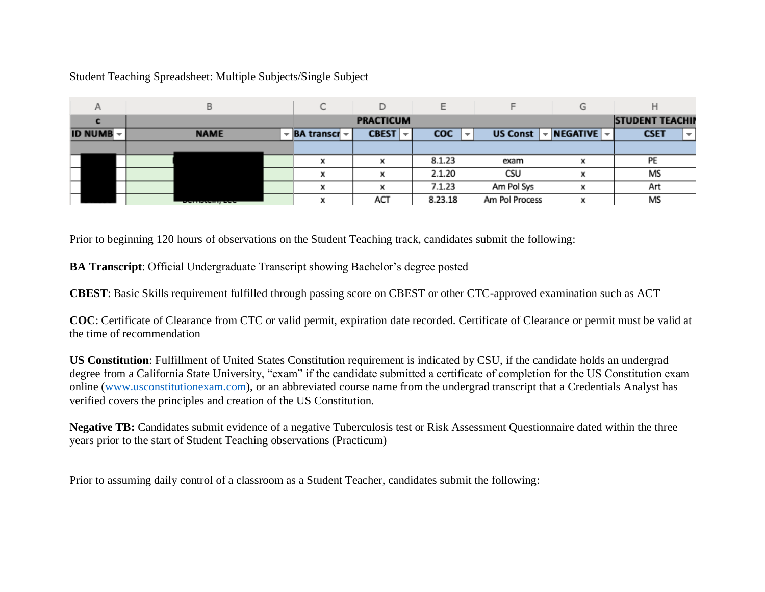## Student Teaching Spreadsheet: Multiple Subjects/Single Subject

|                  |                       | ◡                                    |                      |                                 |                                             |                                          |                                         |
|------------------|-----------------------|--------------------------------------|----------------------|---------------------------------|---------------------------------------------|------------------------------------------|-----------------------------------------|
|                  |                       | <b>PRACTICUM</b>                     |                      |                                 |                                             |                                          | <b>STUDENT TEACHIP</b>                  |
| <b>ID NUMB -</b> | <b>NAME</b>           | $\mathbf{F}$ BA transcr $\mathbf{F}$ | <b>CBEST</b><br>$-1$ | coc<br>$\overline{\phantom{a}}$ | <b>US Const</b><br>$\overline{\phantom{a}}$ | <b>NEGATIVE</b> $\vert \mathbf{v} \vert$ | <b>CSET</b><br>$\overline{\phantom{a}}$ |
|                  |                       |                                      |                      |                                 |                                             |                                          |                                         |
|                  |                       |                                      |                      | 8.1.23                          | exam                                        |                                          | PE                                      |
|                  |                       | x                                    |                      | 2.1.20                          | CSU                                         |                                          | MS                                      |
|                  |                       |                                      |                      | 7.1.23                          | Am Pol Sys                                  |                                          | Art                                     |
|                  | <u>permanenti pop</u> | v                                    | ACT                  | 8.23.18                         | Am Pol Process                              |                                          | MS                                      |

Prior to beginning 120 hours of observations on the Student Teaching track, candidates submit the following:

**BA Transcript**: Official Undergraduate Transcript showing Bachelor's degree posted

**CBEST**: Basic Skills requirement fulfilled through passing score on CBEST or other CTC-approved examination such as ACT

**COC**: Certificate of Clearance from CTC or valid permit, expiration date recorded. Certificate of Clearance or permit must be valid at the time of recommendation

**US Constitution**: Fulfillment of United States Constitution requirement is indicated by CSU, if the candidate holds an undergrad degree from a California State University, "exam" if the candidate submitted a certificate of completion for the US Constitution exam online [\(www.usconstitutionexam.com\)](http://www.usconstitutionexam.com/), or an abbreviated course name from the undergrad transcript that a Credentials Analyst has verified covers the principles and creation of the US Constitution.

**Negative TB:** Candidates submit evidence of a negative Tuberculosis test or Risk Assessment Questionnaire dated within the three years prior to the start of Student Teaching observations (Practicum)

Prior to assuming daily control of a classroom as a Student Teacher, candidates submit the following: